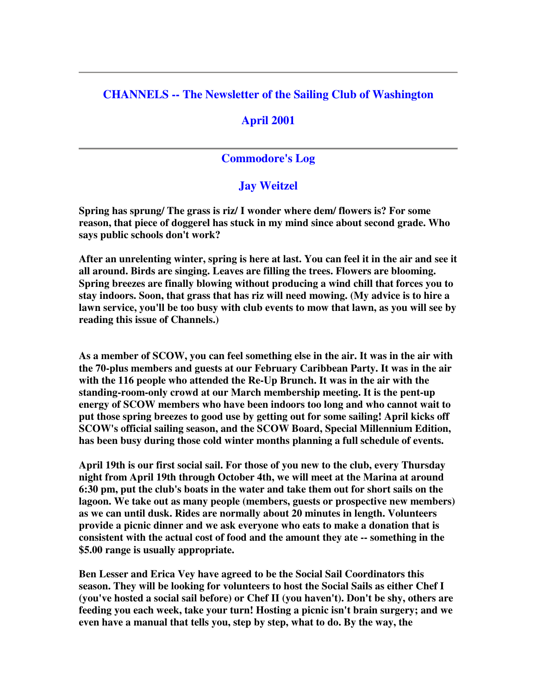#### **CHANNELS -- The Newsletter of the Sailing Club of Washington**

#### **April 2001**

#### **Commodore's Log**

### **Jay Weitzel**

**Spring has sprung/ The grass is riz/ I wonder where dem/ flowers is? For some reason, that piece of doggerel has stuck in my mind since about second grade. Who says public schools don't work?**

**After an unrelenting winter, spring is here at last. You can feel it in the air and see it all around. Birds are singing. Leaves are filling the trees. Flowers are blooming. Spring breezes are finally blowing without producing a wind chill that forces you to stay indoors. Soon, that grass that has riz will need mowing. (My advice is to hire a lawn service, you'll be too busy with club events to mow that lawn, as you will see by reading this issue of Channels.)**

**As a member of SCOW, you can feel something else in the air. It was in the air with the 70-plus members and guests at our February Caribbean Party. It was in the air with the 116 people who attended the Re-Up Brunch. It was in the air with the standing-room-only crowd at our March membership meeting. It is the pent-up energy of SCOW members who have been indoors too long and who cannot wait to put those spring breezes to good use by getting out for some sailing! April kicks off SCOW's official sailing season, and the SCOW Board, Special Millennium Edition, has been busy during those cold winter months planning a full schedule of events.**

**April 19th is our first social sail. For those of you new to the club, every Thursday night from April 19th through October 4th, we will meet at the Marina at around 6:30 pm, put the club's boats in the water and take them out for short sails on the lagoon. We take out as many people (members, guests or prospective new members) as we can until dusk. Rides are normally about 20 minutes in length. Volunteers provide a picnic dinner and we ask everyone who eats to make a donation that is consistent with the actual cost of food and the amount they ate -- something in the \$5.00 range is usually appropriate.**

**Ben Lesser and Erica Vey have agreed to be the Social Sail Coordinators this season. They will be looking for volunteers to host the Social Sails as either Chef I (you've hosted a social sail before) or Chef II (you haven't). Don't be shy, others are feeding you each week, take your turn! Hosting a picnic isn't brain surgery; and we even have a manual that tells you, step by step, what to do. By the way, the**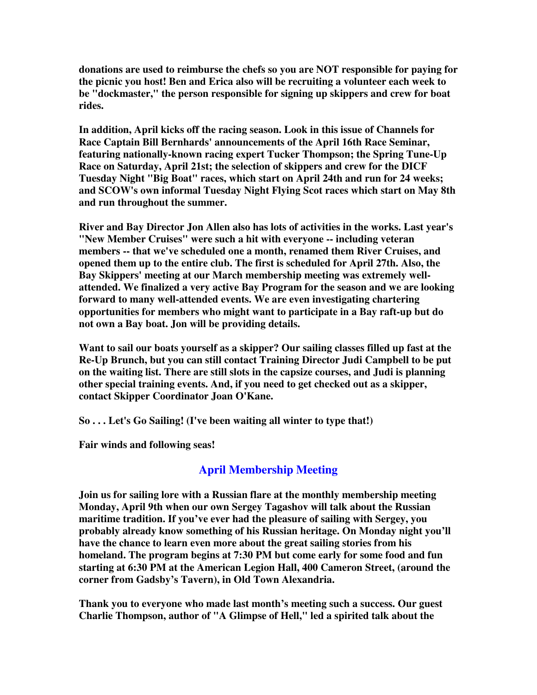**donations are used to reimburse the chefs so you are NOT responsible for paying for the picnic you host! Ben and Erica also will be recruiting a volunteer each week to be "dockmaster," the person responsible for signing up skippers and crew for boat rides.**

**In addition, April kicks off the racing season. Look in this issue of Channels for Race Captain Bill Bernhards' announcements of the April 16th Race Seminar, featuring nationally-known racing expert Tucker Thompson; the Spring Tune-Up Race on Saturday, April 21st; the selection of skippers and crew for the DICF Tuesday Night "Big Boat" races, which start on April 24th and run for 24 weeks; and SCOW's own informal Tuesday Night Flying Scot races which start on May 8th and run throughout the summer.**

**River and Bay Director Jon Allen also has lots of activities in the works. Last year's "New Member Cruises" were such a hit with everyone -- including veteran members -- that we've scheduled one a month, renamed them River Cruises, and opened them up to the entire club. The first is scheduled for April 27th. Also, the Bay Skippers' meeting at our March membership meeting was extremely wellattended. We finalized a very active Bay Program for the season and we are looking forward to many well-attended events. We are even investigating chartering opportunities for members who might want to participate in a Bay raft-up but do not own a Bay boat. Jon will be providing details.**

**Want to sail our boats yourself as a skipper? Our sailing classes filled up fast at the Re-Up Brunch, but you can still contact Training Director Judi Campbell to be put on the waiting list. There are still slots in the capsize courses, and Judi is planning other special training events. And, if you need to get checked out as a skipper, contact Skipper Coordinator Joan O'Kane.**

**So . . . Let's Go Sailing! (I've been waiting all winter to type that!)**

**Fair winds and following seas!**

## **April Membership Meeting**

**Join us for sailing lore with a Russian flare at the monthly membership meeting Monday, April 9th when our own Sergey Tagashov will talk about the Russian maritime tradition. If you've ever had the pleasure of sailing with Sergey, you probably already know something of his Russian heritage. On Monday night you'll have the chance to learn even more about the great sailing stories from his homeland. The program begins at 7:30 PM but come early for some food and fun starting at 6:30 PM at the American Legion Hall, 400 Cameron Street, (around the corner from Gadsby's Tavern), in Old Town Alexandria.**

**Thank you to everyone who made last month's meeting such a success. Our guest Charlie Thompson, author of "A Glimpse of Hell," led a spirited talk about the**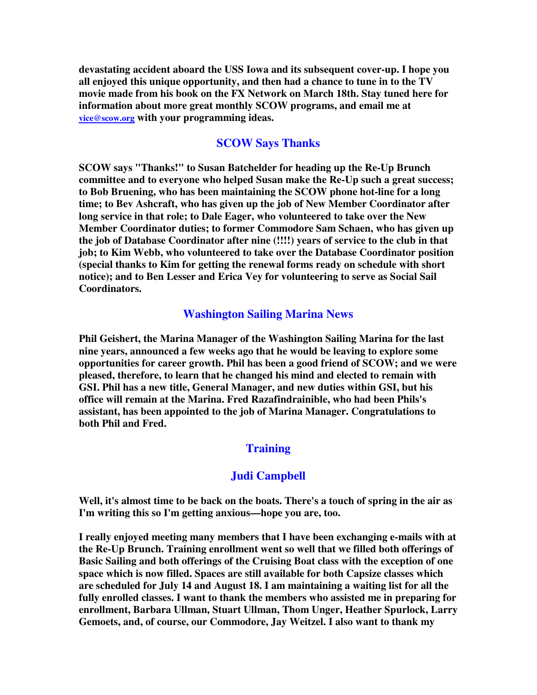**devastating accident aboard the USS Iowa and its subsequent cover-up. I hope you all enjoyed this unique opportunity, and then had a chance to tune in to the TV movie made from his book on the FX Network on March 18th. Stay tuned here for information about more great monthly SCOW programs, and email me at vice@scow.org with your programming ideas.**

#### **SCOW Says Thanks**

**SCOW says "Thanks!" to Susan Batchelder for heading up the Re-Up Brunch committee and to everyone who helped Susan make the Re-Up such a great success; to Bob Bruening, who has been maintaining the SCOW phone hot-line for a long time; to Bev Ashcraft, who has given up the job of New Member Coordinator after long service in that role; to Dale Eager, who volunteered to take over the New Member Coordinator duties; to former Commodore Sam Schaen, who has given up the job of Database Coordinator after nine (!!!!) years of service to the club in that job; to Kim Webb, who volunteered to take over the Database Coordinator position (special thanks to Kim for getting the renewal forms ready on schedule with short notice); and to Ben Lesser and Erica Vey for volunteering to serve as Social Sail Coordinators.**

#### **Washington Sailing Marina News**

**Phil Geishert, the Marina Manager of the Washington Sailing Marina for the last nine years, announced a few weeks ago that he would be leaving to explore some opportunities for career growth. Phil has been a good friend of SCOW; and we were pleased, therefore, to learn that he changed his mind and elected to remain with GSI. Phil has a new title, General Manager, and new duties within GSI, but his office will remain at the Marina. Fred Razafindrainible, who had been Phils's assistant, has been appointed to the job of Marina Manager. Congratulations to both Phil and Fred.**

#### **Training**

#### **Judi Campbell**

**Well, it's almost time to be back on the boats. There's a touch of spring in the air as I'm writing this so I'm getting anxious—hope you are, too.**

**I really enjoyed meeting many members that I have been exchanging e-mails with at the Re-Up Brunch. Training enrollment went so well that we filled both offerings of Basic Sailing and both offerings of the Cruising Boat class with the exception of one space which is now filled. Spaces are still available for both Capsize classes which are scheduled for July 14 and August 18. I am maintaining a waiting list for all the fully enrolled classes. I want to thank the members who assisted me in preparing for enrollment, Barbara Ullman, Stuart Ullman, Thom Unger, Heather Spurlock, Larry Gemoets, and, of course, our Commodore, Jay Weitzel. I also want to thank my**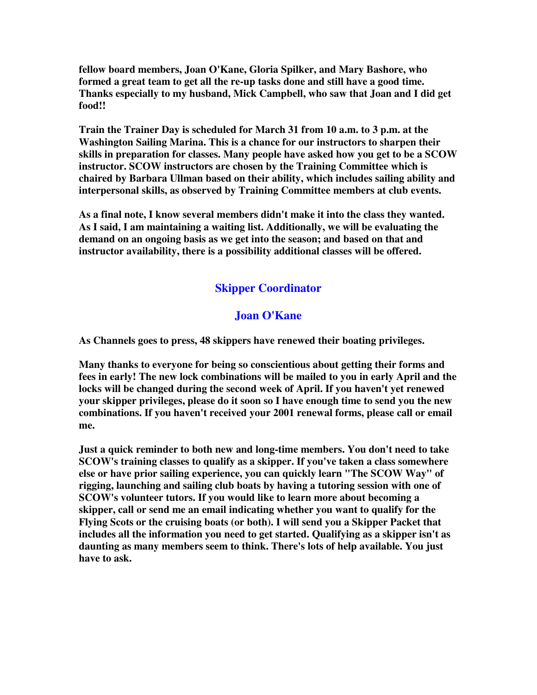**fellow board members, Joan O'Kane, Gloria Spilker, and Mary Bashore, who formed a great team to get all the re-up tasks done and still have a good time. Thanks especially to my husband, Mick Campbell, who saw that Joan and I did get food!!**

**Train the Trainer Day is scheduled for March 31 from 10 a.m. to 3 p.m. at the Washington Sailing Marina. This is a chance for our instructors to sharpen their skills in preparation for classes. Many people have asked how you get to be a SCOW instructor. SCOW instructors are chosen by the Training Committee which is chaired by Barbara Ullman based on their ability, which includes sailing ability and interpersonal skills, as observed by Training Committee members at club events.**

**As a final note, I know several members didn't make it into the class they wanted. As I said, I am maintaining a waiting list. Additionally, we will be evaluating the demand on an ongoing basis as we get into the season; and based on that and instructor availability, there is a possibility additional classes will be offered.**

## **Skipper Coordinator**

#### **Joan O'Kane**

**As Channels goes to press, 48 skippers have renewed their boating privileges.**

**Many thanks to everyone for being so conscientious about getting their forms and fees in early! The new lock combinations will be mailed to you in early April and the locks will be changed during the second week of April. If you haven't yet renewed your skipper privileges, please do it soon so I have enough time to send you the new combinations. If you haven't received your 2001 renewal forms, please call or email me.**

**Just a quick reminder to both new and long-time members. You don't need to take SCOW's training classes to qualify as a skipper. If you've taken a class somewhere else or have prior sailing experience, you can quickly learn "The SCOW Way" of rigging, launching and sailing club boats by having a tutoring session with one of SCOW's volunteer tutors. If you would like to learn more about becoming a skipper, call or send me an email indicating whether you want to qualify for the Flying Scots or the cruising boats (or both). I will send you a Skipper Packet that includes all the information you need to get started. Qualifying as a skipper isn't as daunting as many members seem to think. There's lots of help available. You just have to ask.**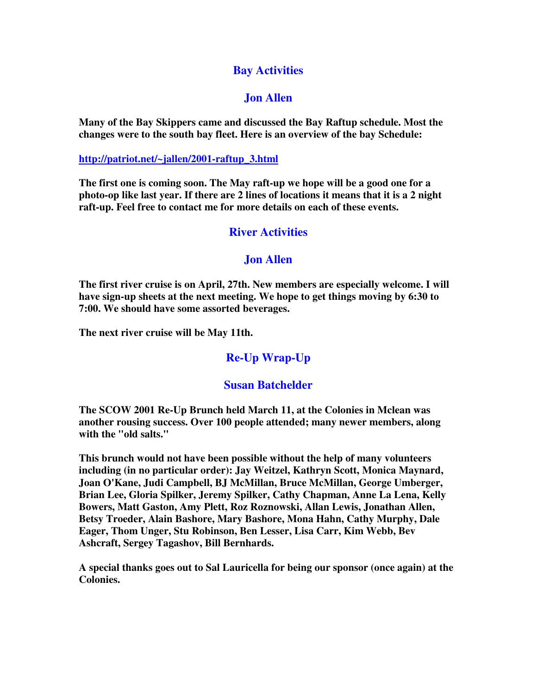### **Bay Activities**

## **Jon Allen**

**Many of the Bay Skippers came and discussed the Bay Raftup schedule. Most the changes were to the south bay fleet. Here is an overview of the bay Schedule:**

**http://patriot.net/~jallen/2001-raftup\_3.html**

**The first one is coming soon. The May raft-up we hope will be a good one for a photo-op like last year. If there are 2 lines of locations it means that it is a 2 night raft-up. Feel free to contact me for more details on each of these events.**

#### **River Activities**

### **Jon Allen**

**The first river cruise is on April, 27th. New members are especially welcome. I will have sign-up sheets at the next meeting. We hope to get things moving by 6:30 to 7:00. We should have some assorted beverages.**

**The next river cruise will be May 11th.**

# **Re-Up Wrap-Up**

### **Susan Batchelder**

**The SCOW 2001 Re-Up Brunch held March 11, at the Colonies in Mclean was another rousing success. Over 100 people attended; many newer members, along with the "old salts."**

**This brunch would not have been possible without the help of many volunteers including (in no particular order): Jay Weitzel, Kathryn Scott, Monica Maynard, Joan O'Kane, Judi Campbell, BJ McMillan, Bruce McMillan, George Umberger, Brian Lee, Gloria Spilker, Jeremy Spilker, Cathy Chapman, Anne La Lena, Kelly Bowers, Matt Gaston, Amy Plett, Roz Roznowski, Allan Lewis, Jonathan Allen, Betsy Troeder, Alain Bashore, Mary Bashore, Mona Hahn, Cathy Murphy, Dale Eager, Thom Unger, Stu Robinson, Ben Lesser, Lisa Carr, Kim Webb, Bev Ashcraft, Sergey Tagashov, Bill Bernhards.**

**A special thanks goes out to Sal Lauricella for being our sponsor (once again) at the Colonies.**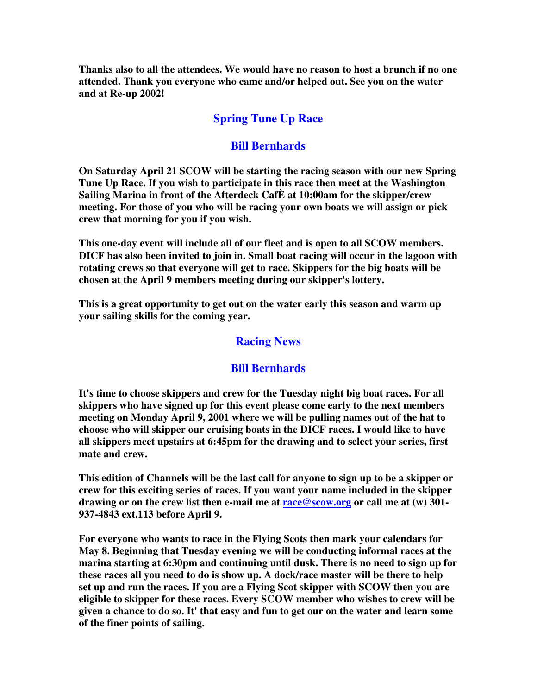**Thanks also to all the attendees. We would have no reason to host a brunch if no one attended. Thank you everyone who came and/or helped out. See you on the water and at Re-up 2002!**

## **Spring Tune Up Race**

### **Bill Bernhards**

**On Saturday April 21 SCOW will be starting the racing season with our new Spring Tune Up Race. If you wish to participate in this race then meet at the Washington Sailing Marina in front of the Afterdeck CafÈ at 10:00am for the skipper/crew meeting. For those of you who will be racing your own boats we will assign or pick crew that morning for you if you wish.**

**This one-day event will include all of our fleet and is open to all SCOW members. DICF has also been invited to join in. Small boat racing will occur in the lagoon with rotating crews so that everyone will get to race. Skippers for the big boats will be chosen at the April 9 members meeting during our skipper's lottery.**

**This is a great opportunity to get out on the water early this season and warm up your sailing skills for the coming year.**

## **Racing News**

### **Bill Bernhards**

**It's time to choose skippers and crew for the Tuesday night big boat races. For all skippers who have signed up for this event please come early to the next members meeting on Monday April 9, 2001 where we will be pulling names out of the hat to choose who will skipper our cruising boats in the DICF races. I would like to have all skippers meet upstairs at 6:45pm for the drawing and to select your series, first mate and crew.**

**This edition of Channels will be the last call for anyone to sign up to be a skipper or crew for this exciting series of races. If you want your name included in the skipper drawing or on the crew list then e-mail me at race@scow.org or call me at (w) 301- 937-4843 ext.113 before April 9.**

**For everyone who wants to race in the Flying Scots then mark your calendars for May 8. Beginning that Tuesday evening we will be conducting informal races at the marina starting at 6:30pm and continuing until dusk. There is no need to sign up for these races all you need to do is show up. A dock/race master will be there to help set up and run the races. If you are a Flying Scot skipper with SCOW then you are eligible to skipper for these races. Every SCOW member who wishes to crew will be** given a chance to do so. It' that easy and fun to get our on the water and learn some **of the finer points of sailing.**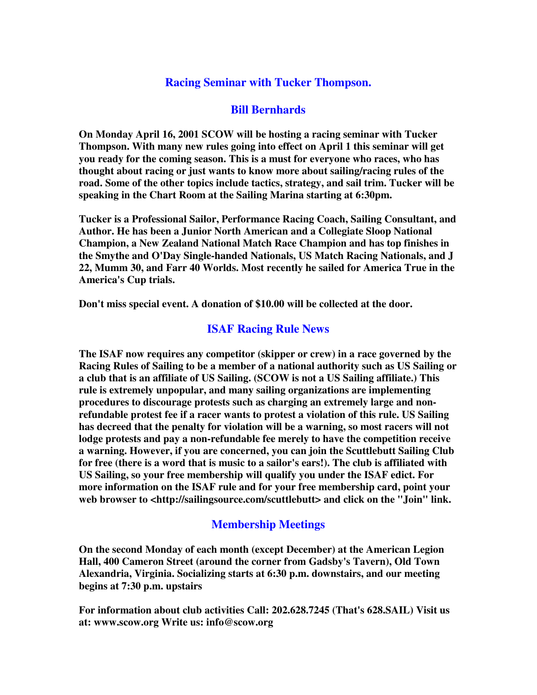#### **Racing Seminar with Tucker Thompson.**

#### **Bill Bernhards**

**On Monday April 16, 2001 SCOW will be hosting a racing seminar with Tucker Thompson. With many new rules going into effect on April 1 this seminar will get you ready for the coming season. This is a must for everyone who races, who has thought about racing or just wants to know more about sailing/racing rules of the road. Some of the other topics include tactics, strategy, and sail trim. Tucker will be speaking in the Chart Room at the Sailing Marina starting at 6:30pm.**

**Tucker is a Professional Sailor, Performance Racing Coach, Sailing Consultant, and Author. He has been a Junior North American and a Collegiate Sloop National Champion, a New Zealand National Match Race Champion and has top finishes in the Smythe and O'Day Single-handed Nationals, US Match Racing Nationals, and J 22, Mumm 30, and Farr 40 Worlds. Most recently he sailed for America True in the America's Cup trials.**

**Don't miss special event. A donation of \$10.00 will be collected at the door.**

#### **ISAF Racing Rule News**

**The ISAF now requires any competitor (skipper or crew) in a race governed by the Racing Rules of Sailing to be a member of a national authority such as US Sailing or a club that is an affiliate of US Sailing. (SCOW is not a US Sailing affiliate.) This rule is extremely unpopular, and many sailing organizations are implementing procedures to discourage protests such as charging an extremely large and nonrefundable protest fee if a racer wants to protest a violation of this rule. US Sailing has decreed that the penalty for violation will be a warning, so most racers will not lodge protests and pay a non-refundable fee merely to have the competition receive a warning. However, if you are concerned, you can join the Scuttlebutt Sailing Club for free (there is a word that is music to a sailor's ears!). The club is affiliated with US Sailing, so your free membership will qualify you under the ISAF edict. For more information on the ISAF rule and for your free membership card, point your web browser to <http://sailingsource.com/scuttlebutt> and click on the "Join" link.**

### **Membership Meetings**

**On the second Monday of each month (except December) at the American Legion Hall, 400 Cameron Street (around the corner from Gadsby's Tavern), Old Town Alexandria, Virginia. Socializing starts at 6:30 p.m. downstairs, and our meeting begins at 7:30 p.m. upstairs**

**For information about club activities Call: 202.628.7245 (That's 628.SAIL) Visit us at: www.scow.org Write us: info@scow.org**